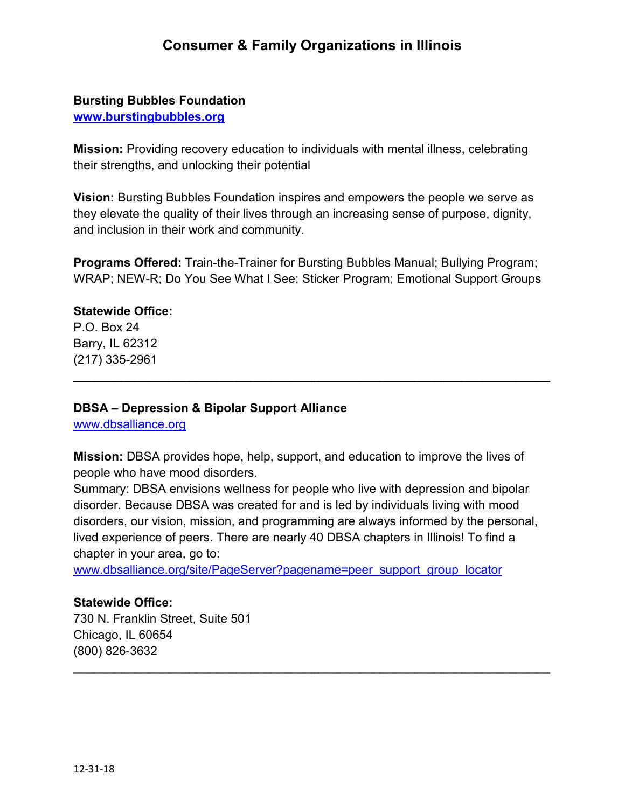# **Consumer & Family Organizations in Illinois**

### **Bursting Bubbles Foundation**

**[www.burstingbubbles.org](http://www.burstingbubbles.org/)**

**Mission:** Providing recovery education to individuals with mental illness, celebrating their strengths, and unlocking their potential

**Vision:** Bursting Bubbles Foundation inspires and empowers the people we serve as they elevate the quality of their lives through an increasing sense of purpose, dignity, and inclusion in their work and community.

**Programs Offered:** Train-the-Trainer for Bursting Bubbles Manual; Bullying Program; WRAP; NEW-R; Do You See What I See; Sticker Program; Emotional Support Groups

**\_\_\_\_\_\_\_\_\_\_\_\_\_\_\_\_\_\_\_\_\_\_\_\_\_\_\_\_\_\_\_\_\_\_\_\_\_\_\_\_\_\_\_\_\_\_\_\_\_\_\_\_\_\_\_\_\_\_\_\_\_\_\_\_\_\_\_\_\_\_**

#### **Statewide Office:**

P.O. Box 24 Barry, IL 62312 (217) 335-2961

#### **DBSA – Depression & Bipolar Support Alliance**

[www.dbsalliance.org](http://www.dbsalliance.org/)

**Mission:** DBSA provides hope, help, support, and education to improve the lives of people who have mood disorders.

Summary: DBSA envisions wellness for people who live with depression and bipolar disorder. Because DBSA was created for and is led by individuals living with mood disorders, our vision, mission, and programming are always informed by the personal, lived experience of peers. There are nearly 40 DBSA chapters in Illinois! To find a chapter in your area, go to:

**\_\_\_\_\_\_\_\_\_\_\_\_\_\_\_\_\_\_\_\_\_\_\_\_\_\_\_\_\_\_\_\_\_\_\_\_\_\_\_\_\_\_\_\_\_\_\_\_\_\_\_\_\_\_\_\_\_\_\_\_\_\_\_\_\_\_\_\_\_\_**

[www.dbsalliance.org/site/PageServer?pagename=peer\\_support\\_group\\_locator](http://www.dbsalliance.org/site/PageServer?pagename=peer_support_group_locator)

#### **Statewide Office:**

730 N. Franklin Street, Suite 501 Chicago, IL 60654 (800) 826‐3632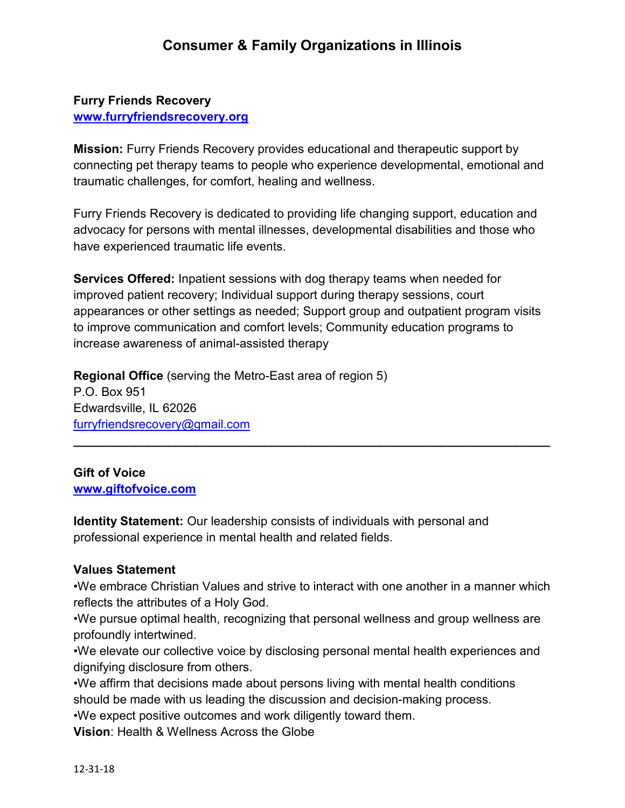# **Furry Friends Recovery [www.furryfriendsrecovery.org](http://www.furryfriendsrecovery.org/)**

**Mission:** Furry Friends Recovery provides educational and therapeutic support by connecting pet therapy teams to people who experience developmental, emotional and traumatic challenges, for comfort, healing and wellness.

Furry Friends Recovery is dedicated to providing life changing support, education and advocacy for persons with mental illnesses, developmental disabilities and those who have experienced traumatic life events.

**Services Offered:** Inpatient sessions with dog therapy teams when needed for improved patient recovery; Individual support during therapy sessions, court appearances or other settings as needed; Support group and outpatient program visits to improve communication and comfort levels; Community education programs to increase awareness of animal-assisted therapy

**\_\_\_\_\_\_\_\_\_\_\_\_\_\_\_\_\_\_\_\_\_\_\_\_\_\_\_\_\_\_\_\_\_\_\_\_\_\_\_\_\_\_\_\_\_\_\_\_\_\_\_\_\_\_\_\_\_\_\_\_\_\_\_\_\_\_\_\_\_\_**

**Regional Office** (serving the Metro-East area of region 5) P.O. Box 951 Edwardsville, IL 62026 [furryfriendsrecovery@gmail.com](mailto:furryfriendsrecovery@gmail.com)

**Gift of Voice [www.giftofvoice.com](http://www.giftofvoice.com/)**

**Identity Statement:** Our leadership consists of individuals with personal and professional experience in mental health and related fields.

## **Values Statement**

•We embrace Christian Values and strive to interact with one another in a manner which reflects the attributes of a Holy God.

•We pursue optimal health, recognizing that personal wellness and group wellness are profoundly intertwined.

•We elevate our collective voice by disclosing personal mental health experiences and dignifying disclosure from others.

•We affirm that decisions made about persons living with mental health conditions should be made with us leading the discussion and decision-making process.

•We expect positive outcomes and work diligently toward them.

**Vision**: Health & Wellness Across the Globe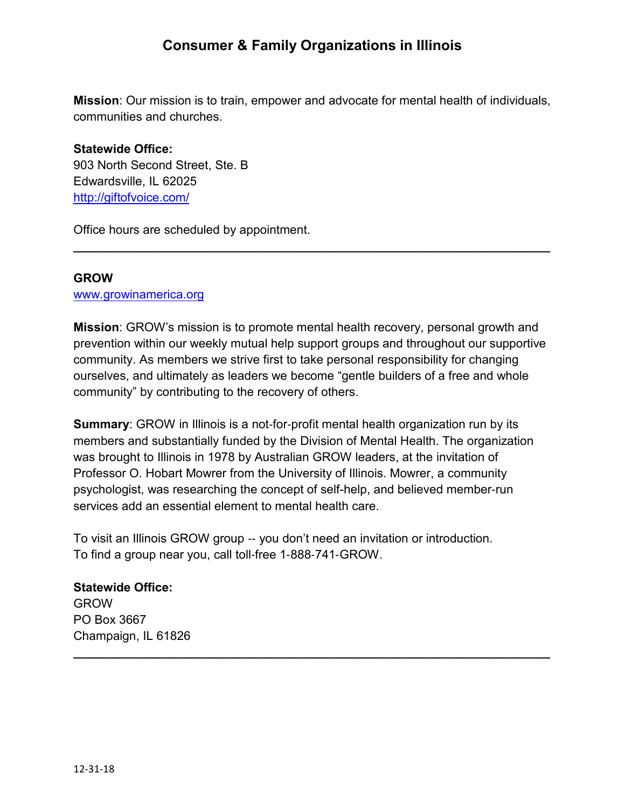# **Consumer & Family Organizations in Illinois**

**Mission**: Our mission is to train, empower and advocate for mental health of individuals, communities and churches.

# **Statewide Office:** 903 North Second Street, Ste. B Edwardsville, IL 62025 <http://giftofvoice.com/>

Office hours are scheduled by appointment.

#### **GROW**

[www.growinamerica.org](http://www.growinamerica.org/)

**Mission**: GROW's mission is to promote mental health recovery, personal growth and prevention within our weekly mutual help support groups and throughout our supportive community. As members we strive first to take personal responsibility for changing ourselves, and ultimately as leaders we become "gentle builders of a free and whole community" by contributing to the recovery of others.

**\_\_\_\_\_\_\_\_\_\_\_\_\_\_\_\_\_\_\_\_\_\_\_\_\_\_\_\_\_\_\_\_\_\_\_\_\_\_\_\_\_\_\_\_\_\_\_\_\_\_\_\_\_\_\_\_\_\_\_\_\_\_\_\_\_\_\_\_\_\_**

**Summary:** GROW in Illinois is a not-for-profit mental health organization run by its members and substantially funded by the Division of Mental Health. The organization was brought to Illinois in 1978 by Australian GROW leaders, at the invitation of Professor O. Hobart Mowrer from the University of Illinois. Mowrer, a community psychologist, was researching the concept of self-help, and believed member‐run services add an essential element to mental health care.

**\_\_\_\_\_\_\_\_\_\_\_\_\_\_\_\_\_\_\_\_\_\_\_\_\_\_\_\_\_\_\_\_\_\_\_\_\_\_\_\_\_\_\_\_\_\_\_\_\_\_\_\_\_\_\_\_\_\_\_\_\_\_\_\_\_\_\_\_\_\_**

To visit an Illinois GROW group ‐‐ you don't need an invitation or introduction. To find a group near you, call toll‐free 1‐888‐741‐GROW.

#### **Statewide Office:**

GROW PO Box 3667 Champaign, IL 61826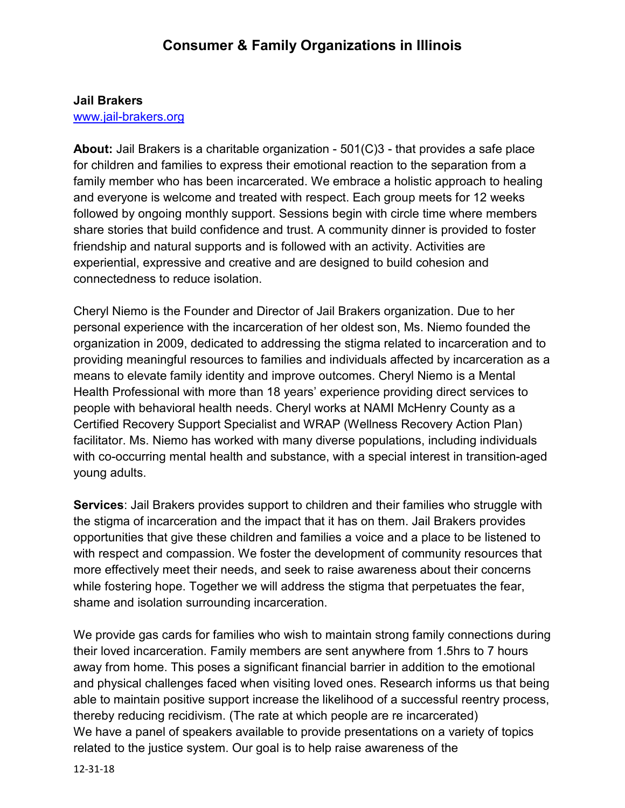#### **Jail Brakers**

#### [www.jail-brakers.org](http://www.jail-brakers.org/)

**About:** Jail Brakers is a charitable organization - 501(C)3 - that provides a safe place for children and families to express their emotional reaction to the separation from a family member who has been incarcerated. We embrace a holistic approach to healing and everyone is welcome and treated with respect. Each group meets for 12 weeks followed by ongoing monthly support. Sessions begin with circle time where members share stories that build confidence and trust. A community dinner is provided to foster friendship and natural supports and is followed with an activity. Activities are experiential, expressive and creative and are designed to build cohesion and connectedness to reduce isolation.

Cheryl Niemo is the Founder and Director of Jail Brakers organization. Due to her personal experience with the incarceration of her oldest son, Ms. Niemo founded the organization in 2009, dedicated to addressing the stigma related to incarceration and to providing meaningful resources to families and individuals affected by incarceration as a means to elevate family identity and improve outcomes. Cheryl Niemo is a Mental Health Professional with more than 18 years' experience providing direct services to people with behavioral health needs. Cheryl works at NAMI McHenry County as a Certified Recovery Support Specialist and WRAP (Wellness Recovery Action Plan) facilitator. Ms. Niemo has worked with many diverse populations, including individuals with co-occurring mental health and substance, with a special interest in transition-aged young adults.

**Services**: Jail Brakers provides support to children and their families who struggle with the stigma of incarceration and the impact that it has on them. Jail Brakers provides opportunities that give these children and families a voice and a place to be listened to with respect and compassion. We foster the development of community resources that more effectively meet their needs, and seek to raise awareness about their concerns while fostering hope. Together we will address the stigma that perpetuates the fear, shame and isolation surrounding incarceration.

We provide gas cards for families who wish to maintain strong family connections during their loved incarceration. Family members are sent anywhere from 1.5hrs to 7 hours away from home. This poses a significant financial barrier in addition to the emotional and physical challenges faced when visiting loved ones. Research informs us that being able to maintain positive support increase the likelihood of a successful reentry process, thereby reducing recidivism. (The rate at which people are re incarcerated) We have a panel of speakers available to provide presentations on a variety of topics related to the justice system. Our goal is to help raise awareness of the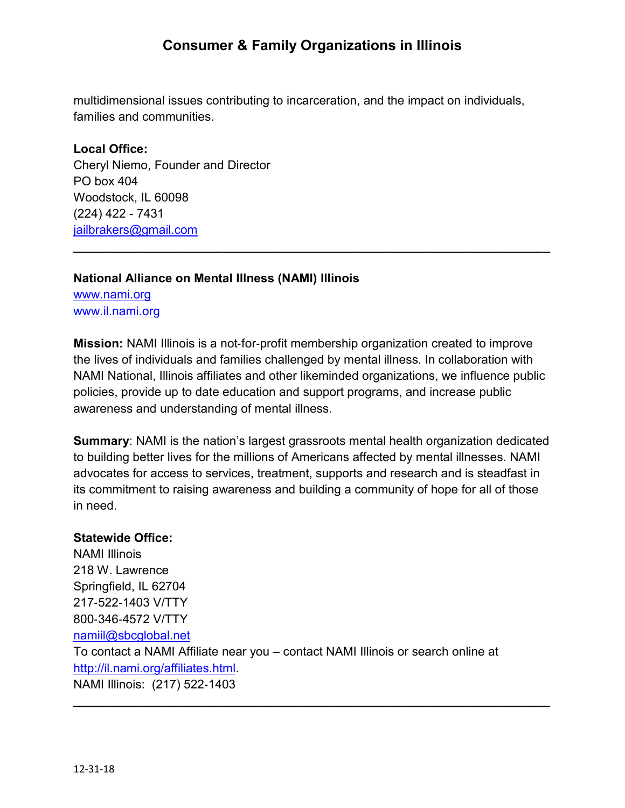# **Consumer & Family Organizations in Illinois**

multidimensional issues contributing to incarceration, and the impact on individuals, families and communities.

#### **Local Office:**

Cheryl Niemo, Founder and Director PO box 404 Woodstock, IL 60098 (224) 422 - 7431 [jailbrakers@gmail.com](mailto:jailbrakers@gmail.com)

# **National Alliance on Mental Illness (NAMI) Illinois**

[www.nami.org](http://www.nami.org/) [www.il.nami.org](http://www.il.nami.org/) 

**Mission:** NAMI Illinois is a not-for-profit membership organization created to improve the lives of individuals and families challenged by mental illness. In collaboration with NAMI National, Illinois affiliates and other likeminded organizations, we influence public policies, provide up to date education and support programs, and increase public awareness and understanding of mental illness.

**\_\_\_\_\_\_\_\_\_\_\_\_\_\_\_\_\_\_\_\_\_\_\_\_\_\_\_\_\_\_\_\_\_\_\_\_\_\_\_\_\_\_\_\_\_\_\_\_\_\_\_\_\_\_\_\_\_\_\_\_\_\_\_\_\_\_\_\_\_\_**

**Summary**: NAMI is the nation's largest grassroots mental health organization dedicated to building better lives for the millions of Americans affected by mental illnesses. NAMI advocates for access to services, treatment, supports and research and is steadfast in its commitment to raising awareness and building a community of hope for all of those in need.

#### **Statewide Office:**

NAMI Illinois 218 W. Lawrence Springfield, IL 62704 217‐522‐1403 V/TTY 800‐346‐4572 V/TTY [namiil@sbcglobal.net](mailto:namiil@sbcglobal.net) To contact a NAMI Affiliate near you – contact NAMI Illinois or search online at [http://il.nami.org/affiliates.html.](http://il.nami.org/affiliates.html) NAMI Illinois: (217) 522‐1403

**\_\_\_\_\_\_\_\_\_\_\_\_\_\_\_\_\_\_\_\_\_\_\_\_\_\_\_\_\_\_\_\_\_\_\_\_\_\_\_\_\_\_\_\_\_\_\_\_\_\_\_\_\_\_\_\_\_\_\_\_\_\_\_\_\_\_\_\_\_\_**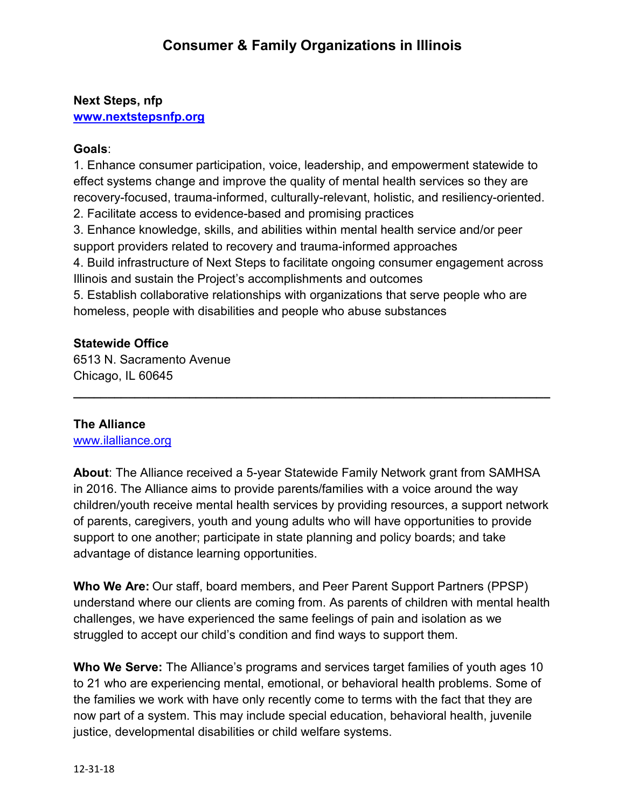# **Next Steps, nfp [www.nextstepsnfp.org](http://www.nextstepsnfp.org/)**

# **Goals**:

1. Enhance consumer participation, voice, leadership, and empowerment statewide to effect systems change and improve the quality of mental health services so they are recovery-focused, trauma-informed, culturally-relevant, holistic, and resiliency-oriented. 2. Facilitate access to evidence-based and promising practices 3. Enhance knowledge, skills, and abilities within mental health service and/or peer support providers related to recovery and trauma-informed approaches 4. Build infrastructure of Next Steps to facilitate ongoing consumer engagement across Illinois and sustain the Project's accomplishments and outcomes 5. Establish collaborative relationships with organizations that serve people who are homeless, people with disabilities and people who abuse substances

# **Statewide Office**

6513 N. Sacramento Avenue Chicago, IL 60645

## **The Alliance**

[www.ilalliance.org](http://www.ilalliance.org/)

**About**: The Alliance received a 5-year Statewide Family Network grant from SAMHSA in 2016. The Alliance aims to provide parents/families with a voice around the way children/youth receive mental health services by providing resources, a support network of parents, caregivers, youth and young adults who will have opportunities to provide support to one another; participate in state planning and policy boards; and take advantage of distance learning opportunities.

**\_\_\_\_\_\_\_\_\_\_\_\_\_\_\_\_\_\_\_\_\_\_\_\_\_\_\_\_\_\_\_\_\_\_\_\_\_\_\_\_\_\_\_\_\_\_\_\_\_\_\_\_\_\_\_\_\_\_\_\_\_\_\_\_\_\_\_\_\_\_**

**Who We Are:** Our staff, board members, and Peer Parent Support Partners (PPSP) understand where our clients are coming from. As parents of children with mental health challenges, we have experienced the same feelings of pain and isolation as we struggled to accept our child's condition and find ways to support them.

**Who We Serve:** The Alliance's programs and services target families of youth ages 10 to 21 who are experiencing mental, emotional, or behavioral health problems. Some of the families we work with have only recently come to terms with the fact that they are now part of a system. This may include special education, behavioral health, juvenile justice, developmental disabilities or child welfare systems.